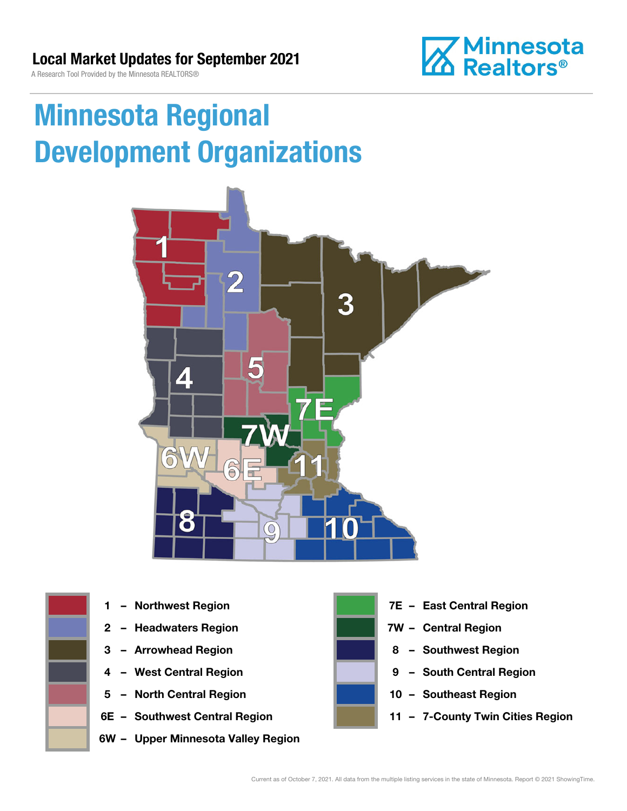**Minnesota**<br>**M** Realtors®

A Research Tool Provided by the Minnesota REALTORS®

# Minnesota Regional Development Organizations







- 
- 
- 
- 5 North Central Region 10 Southeast Region
- 
- 6W Upper Minnesota Valley Region



- 1 Northwest Region **1 1999 12 Property Contral Region**
- 2 Headwaters Region **1988 7W Central Region**
- 3 Arrowhead Region **8 Southwest Region**
- 4 West Central Region **19 South Central Region** 
	-
- 6E Southwest Central Region **11 7-County Twin Cities Region**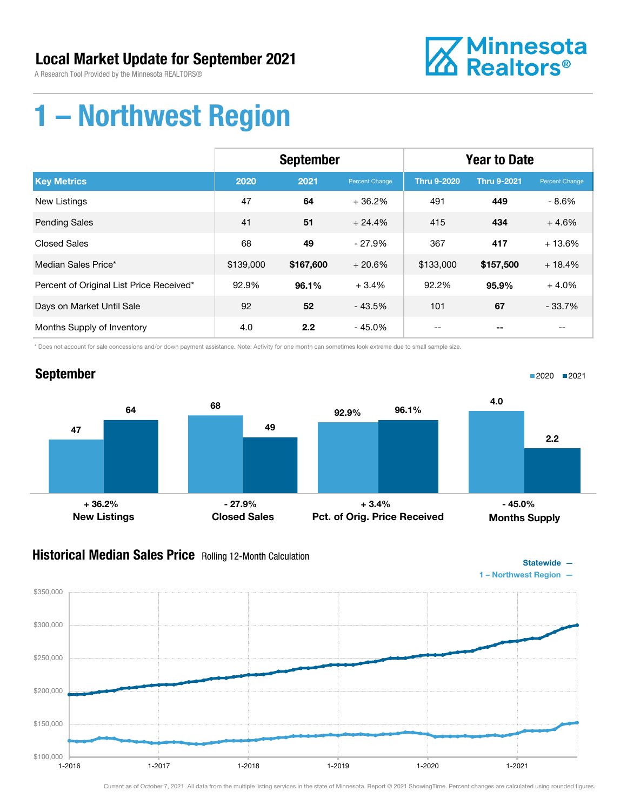A Research Tool Provided by the Minnesota REALTORS®



### 1 – Northwest Region

|                                          | <b>September</b> |           |                | <b>Year to Date</b> |                    |                |
|------------------------------------------|------------------|-----------|----------------|---------------------|--------------------|----------------|
| <b>Key Metrics</b>                       | 2020             | 2021      | Percent Change | <b>Thru 9-2020</b>  | <b>Thru 9-2021</b> | Percent Change |
| <b>New Listings</b>                      | 47               | 64        | $+36.2%$       | 491                 | 449                | - 8.6%         |
| <b>Pending Sales</b>                     | 41               | 51        | $+24.4%$       | 415                 | 434                | $+4.6%$        |
| <b>Closed Sales</b>                      | 68               | 49        | $-27.9%$       | 367                 | 417                | $+13.6%$       |
| Median Sales Price*                      | \$139,000        | \$167,600 | $+20.6%$       | \$133,000           | \$157,500          | $+18.4%$       |
| Percent of Original List Price Received* | 92.9%            | 96.1%     | $+3.4%$        | 92.2%               | 95.9%              | $+4.0%$        |
| Days on Market Until Sale                | 92               | 52        | $-43.5%$       | 101                 | 67                 | $-33.7%$       |
| Months Supply of Inventory               | 4.0              | 2.2       | $-45.0%$       |                     |                    | --             |

\* Does not account for sale concessions and/or down payment assistance. Note: Activity for one month can sometimes look extreme due to small sample size.



#### **Historical Median Sales Price** Rolling 12-Month Calculation



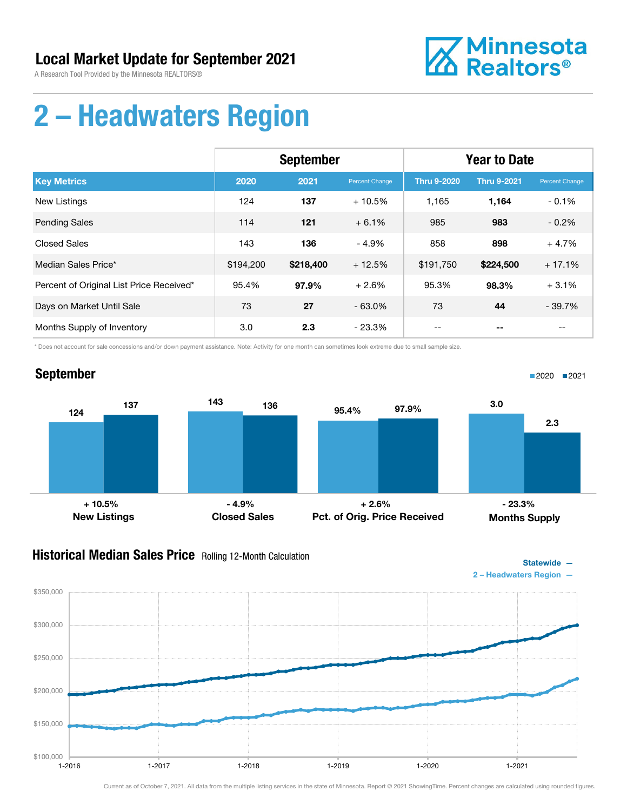

### 2 – Headwaters Region

|                                          | <b>September</b> |           |                | <b>Year to Date</b> |                    |                |
|------------------------------------------|------------------|-----------|----------------|---------------------|--------------------|----------------|
| <b>Key Metrics</b>                       | 2020             | 2021      | Percent Change | <b>Thru 9-2020</b>  | <b>Thru 9-2021</b> | Percent Change |
| <b>New Listings</b>                      | 124              | 137       | $+10.5%$       | 1,165               | 1,164              | $-0.1%$        |
| <b>Pending Sales</b>                     | 114              | 121       | $+6.1%$        | 985                 | 983                | $-0.2%$        |
| <b>Closed Sales</b>                      | 143              | 136       | $-4.9%$        | 858                 | 898                | $+4.7%$        |
| Median Sales Price*                      | \$194,200        | \$218,400 | $+12.5%$       | \$191,750           | \$224,500          | $+17.1%$       |
| Percent of Original List Price Received* | 95.4%            | 97.9%     | $+2.6%$        | 95.3%               | 98.3%              | $+3.1%$        |
| Days on Market Until Sale                | 73               | 27        | $-63.0%$       | 73                  | 44                 | $-39.7%$       |
| Months Supply of Inventory               | 3.0              | 2.3       | - 23.3%        | --                  |                    | --             |

\* Does not account for sale concessions and/or down payment assistance. Note: Activity for one month can sometimes look extreme due to small sample size.

#### September



#### **Historical Median Sales Price** Rolling 12-Month Calculation



■2020 ■2021

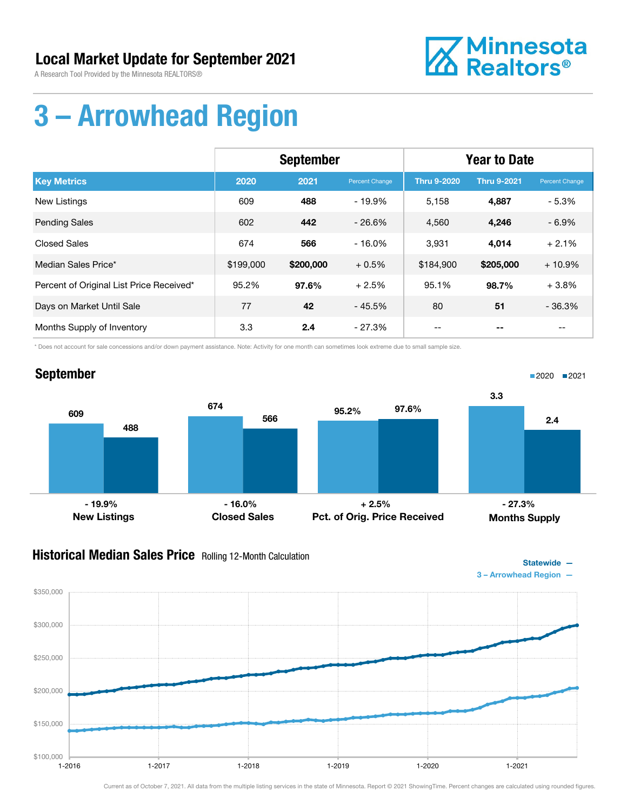

# 3 – Arrowhead Region

|                                          | <b>September</b> |           |                | <b>Year to Date</b> |                    |                |
|------------------------------------------|------------------|-----------|----------------|---------------------|--------------------|----------------|
| <b>Key Metrics</b>                       | 2020             | 2021      | Percent Change | <b>Thru 9-2020</b>  | <b>Thru 9-2021</b> | Percent Change |
| New Listings                             | 609              | 488       | $-19.9\%$      | 5,158               | 4,887              | $-5.3%$        |
| <b>Pending Sales</b>                     | 602              | 442       | $-26.6%$       | 4,560               | 4,246              | $-6.9%$        |
| <b>Closed Sales</b>                      | 674              | 566       | $-16.0%$       | 3,931               | 4,014              | $+2.1%$        |
| Median Sales Price*                      | \$199,000        | \$200,000 | $+0.5%$        | \$184,900           | \$205,000          | $+10.9%$       |
| Percent of Original List Price Received* | 95.2%            | 97.6%     | $+2.5%$        | 95.1%               | 98.7%              | $+3.8%$        |
| Days on Market Until Sale                | 77               | 42        | $-45.5%$       | 80                  | 51                 | $-36.3%$       |
| Months Supply of Inventory               | 3.3              | 2.4       | - 27.3%        |                     |                    | --             |

\* Does not account for sale concessions and/or down payment assistance. Note: Activity for one month can sometimes look extreme due to small sample size.



#### **Historical Median Sales Price** Rolling 12-Month Calculation



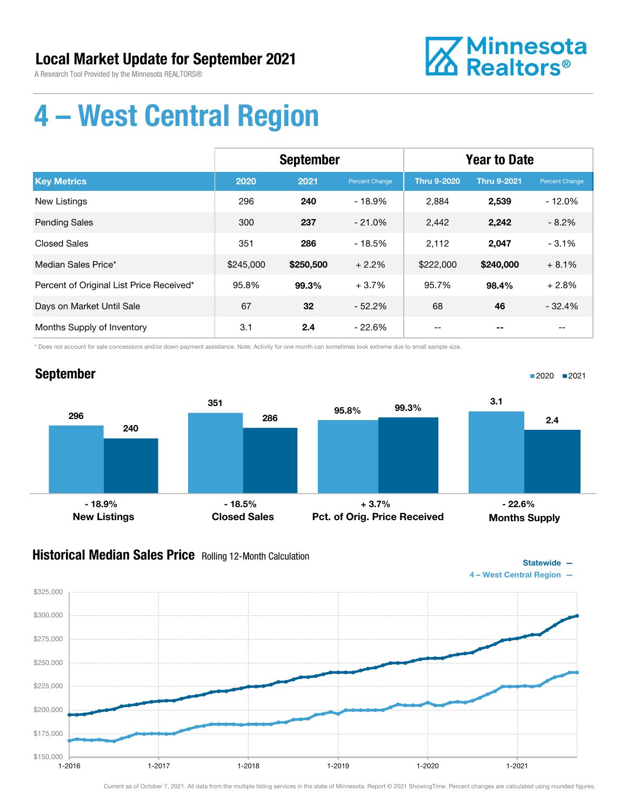A Research Tool Provided by the Minnesota REALTORS®



■2020 2021

# 4 – West Central Region

|                                          | <b>September</b> |           |                | <b>Year to Date</b> |                    |                |
|------------------------------------------|------------------|-----------|----------------|---------------------|--------------------|----------------|
| <b>Key Metrics</b>                       | 2020             | 2021      | Percent Change | <b>Thru 9-2020</b>  | <b>Thru 9-2021</b> | Percent Change |
| <b>New Listings</b>                      | 296              | 240       | $-18.9%$       | 2,884               | 2,539              | $-12.0%$       |
| <b>Pending Sales</b>                     | 300              | 237       | $-21.0%$       | 2,442               | 2,242              | $-8.2%$        |
| <b>Closed Sales</b>                      | 351              | 286       | $-18.5%$       | 2,112               | 2,047              | $-3.1%$        |
| Median Sales Price*                      | \$245,000        | \$250,500 | $+2.2%$        | \$222,000           | \$240,000          | $+8.1%$        |
| Percent of Original List Price Received* | 95.8%            | 99.3%     | $+3.7%$        | 95.7%               | 98.4%              | $+2.8%$        |
| Days on Market Until Sale                | 67               | 32        | $-52.2\%$      | 68                  | 46                 | $-32.4%$       |
| Months Supply of Inventory               | 3.1              | 2.4       | - 22.6%        |                     |                    |                |

\* Does not account for sale concessions and/or down payment assistance. Note: Activity for one month can sometimes look extreme due to small sample size.

### September



#### **Historical Median Sales Price** Rolling 12-Month Calculation

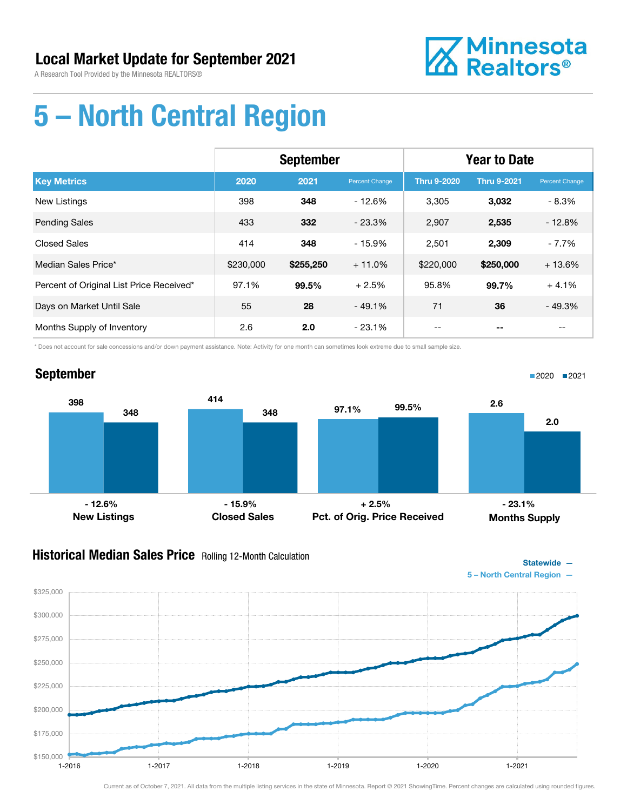

# 5 – North Central Region

|                                          | <b>September</b> |           |                | <b>Year to Date</b> |                    |                |
|------------------------------------------|------------------|-----------|----------------|---------------------|--------------------|----------------|
| <b>Key Metrics</b>                       | 2020             | 2021      | Percent Change | <b>Thru 9-2020</b>  | <b>Thru 9-2021</b> | Percent Change |
| New Listings                             | 398              | 348       | $-12.6%$       | 3,305               | 3,032              | $-8.3%$        |
| <b>Pending Sales</b>                     | 433              | 332       | $-23.3%$       | 2,907               | 2,535              | $-12.8%$       |
| <b>Closed Sales</b>                      | 414              | 348       | $-15.9%$       | 2,501               | 2,309              | $-7.7%$        |
| Median Sales Price*                      | \$230,000        | \$255,250 | $+11.0%$       | \$220,000           | \$250,000          | $+13.6%$       |
| Percent of Original List Price Received* | 97.1%            | 99.5%     | $+2.5%$        | 95.8%               | 99.7%              | $+4.1%$        |
| Days on Market Until Sale                | 55               | 28        | $-49.1%$       | 71                  | 36                 | $-49.3%$       |
| Months Supply of Inventory               | 2.6              | 2.0       | $-23.1%$       |                     |                    |                |

\* Does not account for sale concessions and/or down payment assistance. Note: Activity for one month can sometimes look extreme due to small sample size.

#### September



#### **Historical Median Sales Price** Rolling 12-Month Calculation



■2020 2021

Statewide —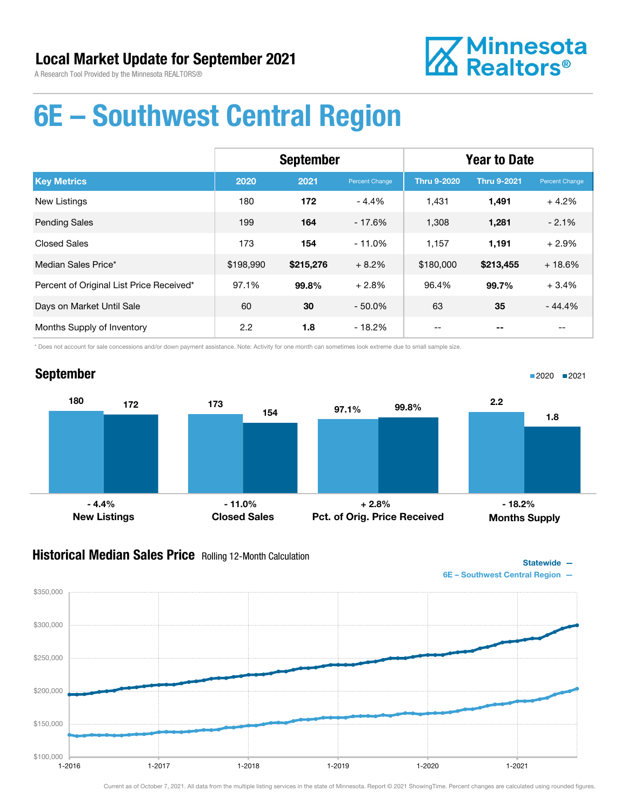

### 6E – Southwest Central Region

|                                          | <b>September</b> |           |                | <b>Year to Date</b> |                    |                |
|------------------------------------------|------------------|-----------|----------------|---------------------|--------------------|----------------|
| <b>Key Metrics</b>                       | 2020             | 2021      | Percent Change | <b>Thru 9-2020</b>  | <b>Thru 9-2021</b> | Percent Change |
| <b>New Listings</b>                      | 180              | 172       | $-4.4%$        | 1.431               | 1,491              | $+4.2%$        |
| <b>Pending Sales</b>                     | 199              | 164       | $-17.6%$       | 1,308               | 1,281              | $-2.1%$        |
| <b>Closed Sales</b>                      | 173              | 154       | $-11.0%$       | 1,157               | 1,191              | $+2.9%$        |
| Median Sales Price*                      | \$198,990        | \$215,276 | $+8.2%$        | \$180,000           | \$213,455          | $+18.6%$       |
| Percent of Original List Price Received* | 97.1%            | 99.8%     | $+2.8%$        | 96.4%               | 99.7%              | $+3.4%$        |
| Days on Market Until Sale                | 60               | 30        | $-50.0\%$      | 63                  | 35                 | $-44.4%$       |
| Months Supply of Inventory               | 2.2              | 1.8       | - 18.2%        | --                  |                    | --             |

\* Does not account for sale concessions and/or down payment assistance. Note: Activity for one month can sometimes look extreme due to small sample size.

### September



#### **Historical Median Sales Price** Rolling 12-Month Calculation



■2020 ■2021

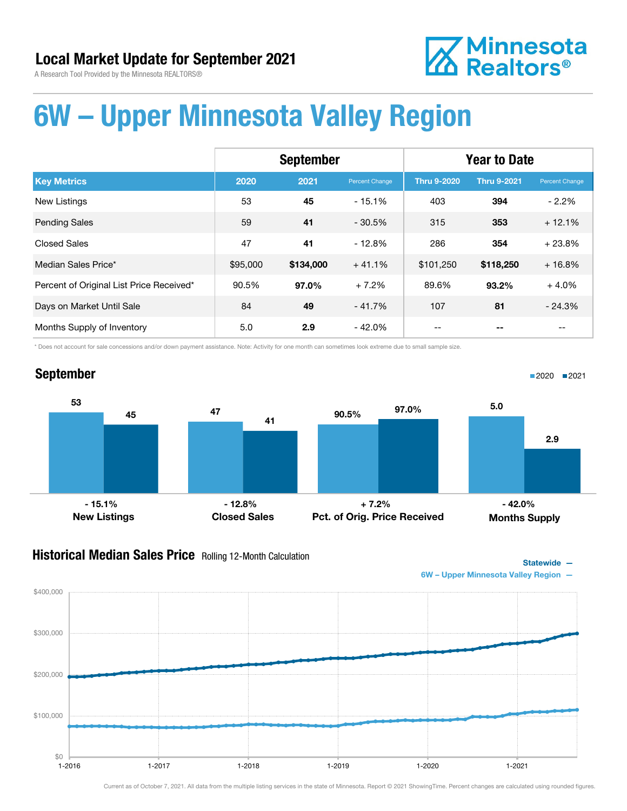

# **Z** Minnesota<br>**ZA Realtors**®

### 6W – Upper Minnesota Valley Region

|                                          | <b>September</b> |           |                | <b>Year to Date</b> |                    |                |
|------------------------------------------|------------------|-----------|----------------|---------------------|--------------------|----------------|
| <b>Key Metrics</b>                       | 2020             | 2021      | Percent Change | <b>Thru 9-2020</b>  | <b>Thru 9-2021</b> | Percent Change |
| <b>New Listings</b>                      | 53               | 45        | $-15.1%$       | 403                 | 394                | $-2.2\%$       |
| <b>Pending Sales</b>                     | 59               | 41        | $-30.5%$       | 315                 | 353                | $+12.1%$       |
| <b>Closed Sales</b>                      | 47               | 41        | $-12.8%$       | 286                 | 354                | $+23.8%$       |
| Median Sales Price*                      | \$95,000         | \$134,000 | $+41.1%$       | \$101,250           | \$118,250          | $+16.8%$       |
| Percent of Original List Price Received* | 90.5%            | 97.0%     | $+7.2%$        | 89.6%               | $93.2\%$           | $+4.0%$        |
| Days on Market Until Sale                | 84               | 49        | $-41.7%$       | 107                 | 81                 | $-24.3%$       |
| Months Supply of Inventory               | 5.0              | 2.9       | $-42.0\%$      |                     |                    | --             |

\* Does not account for sale concessions and/or down payment assistance. Note: Activity for one month can sometimes look extreme due to small sample size.

#### September



#### **Historical Median Sales Price** Rolling 12-Month Calculation



■2020 2021



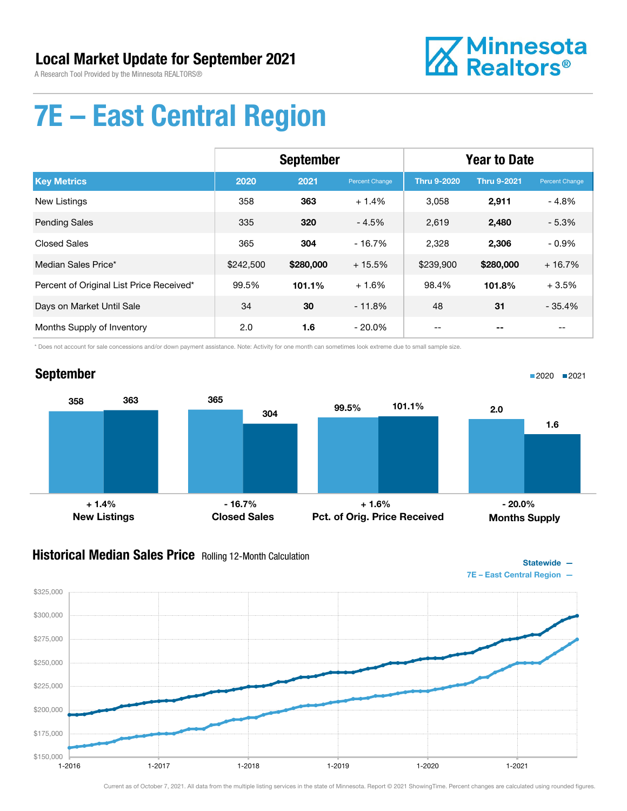

■2020 2021

# 7E – East Central Region

|                                          | <b>September</b> |           |                | <b>Year to Date</b> |                    |                |
|------------------------------------------|------------------|-----------|----------------|---------------------|--------------------|----------------|
| <b>Key Metrics</b>                       | 2020             | 2021      | Percent Change | <b>Thru 9-2020</b>  | <b>Thru 9-2021</b> | Percent Change |
| New Listings                             | 358              | 363       | $+1.4%$        | 3,058               | 2,911              | $-4.8%$        |
| <b>Pending Sales</b>                     | 335              | 320       | $-4.5%$        | 2,619               | 2,480              | $-5.3%$        |
| <b>Closed Sales</b>                      | 365              | 304       | $-16.7%$       | 2,328               | 2,306              | $-0.9%$        |
| Median Sales Price*                      | \$242,500        | \$280,000 | $+15.5%$       | \$239,900           | \$280,000          | $+16.7%$       |
| Percent of Original List Price Received* | 99.5%            | 101.1%    | $+1.6%$        | 98.4%               | 101.8%             | $+3.5%$        |
| Days on Market Until Sale                | 34               | 30        | $-11.8%$       | 48                  | 31                 | $-35.4%$       |
| Months Supply of Inventory               | 2.0              | 1.6       | $-20.0\%$      |                     |                    |                |

\* Does not account for sale concessions and/or down payment assistance. Note: Activity for one month can sometimes look extreme due to small sample size.

#### September



#### **Historical Median Sales Price** Rolling 12-Month Calculation

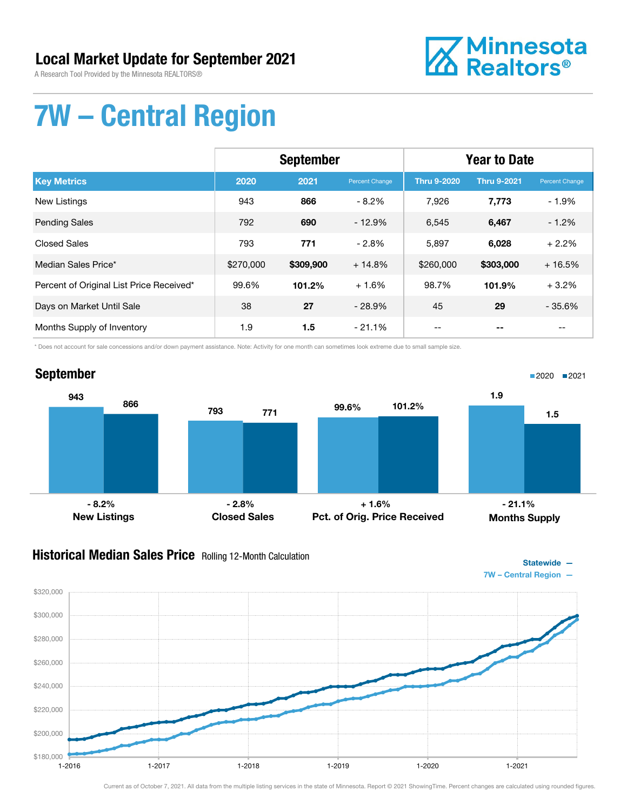A Research Tool Provided by the Minnesota REALTORS®



# 7W – Central Region

|                                          | <b>September</b> |           |                | <b>Year to Date</b> |                    |                |
|------------------------------------------|------------------|-----------|----------------|---------------------|--------------------|----------------|
| <b>Key Metrics</b>                       | 2020             | 2021      | Percent Change | <b>Thru 9-2020</b>  | <b>Thru 9-2021</b> | Percent Change |
| <b>New Listings</b>                      | 943              | 866       | $-8.2%$        | 7,926               | 7,773              | $-1.9%$        |
| <b>Pending Sales</b>                     | 792              | 690       | $-12.9%$       | 6,545               | 6,467              | $-1.2%$        |
| <b>Closed Sales</b>                      | 793              | 771       | $-2.8%$        | 5,897               | 6,028              | $+2.2%$        |
| Median Sales Price*                      | \$270,000        | \$309,900 | $+14.8%$       | \$260,000           | \$303,000          | $+16.5%$       |
| Percent of Original List Price Received* | 99.6%            | 101.2%    | $+1.6%$        | 98.7%               | 101.9%             | $+3.2%$        |
| Days on Market Until Sale                | 38               | 27        | $-28.9%$       | 45                  | 29                 | $-35.6%$       |
| Months Supply of Inventory               | 1.9              | 1.5       | $-21.1\%$      |                     |                    |                |

\* Does not account for sale concessions and/or down payment assistance. Note: Activity for one month can sometimes look extreme due to small sample size.



#### Historical Median Sales Price Rolling 12-Month Calculation

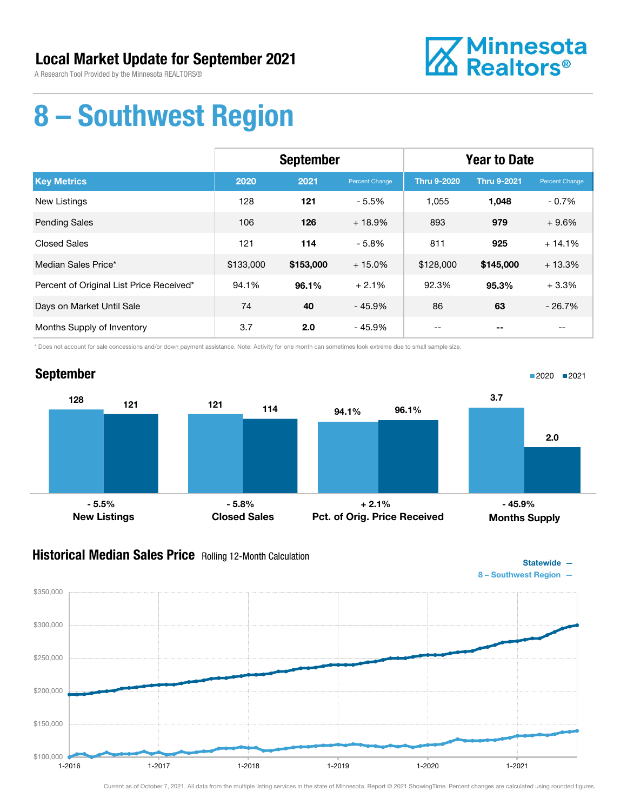A Research Tool Provided by the Minnesota REALTORS®



### 8 – Southwest Region

|                                          | <b>September</b> |           |                | <b>Year to Date</b> |                    |                |
|------------------------------------------|------------------|-----------|----------------|---------------------|--------------------|----------------|
| <b>Key Metrics</b>                       | 2020             | 2021      | Percent Change | <b>Thru 9-2020</b>  | <b>Thru 9-2021</b> | Percent Change |
| New Listings                             | 128              | 121       | $-5.5%$        | 1,055               | 1,048              | $-0.7%$        |
| <b>Pending Sales</b>                     | 106              | 126       | $+18.9%$       | 893                 | 979                | $+9.6%$        |
| <b>Closed Sales</b>                      | 121              | 114       | $-5.8%$        | 811                 | 925                | $+14.1%$       |
| Median Sales Price*                      | \$133,000        | \$153,000 | $+15.0%$       | \$128,000           | \$145,000          | $+13.3%$       |
| Percent of Original List Price Received* | 94.1%            | 96.1%     | $+2.1%$        | 92.3%               | 95.3%              | $+3.3%$        |
| Days on Market Until Sale                | 74               | 40        | $-45.9%$       | 86                  | 63                 | $-26.7%$       |
| Months Supply of Inventory               | 3.7              | 2.0       | $-45.9%$       | --                  | --                 | $- -$          |

\* Does not account for sale concessions and/or down payment assistance. Note: Activity for one month can sometimes look extreme due to small sample size.



#### **Historical Median Sales Price** Rolling 12-Month Calculation



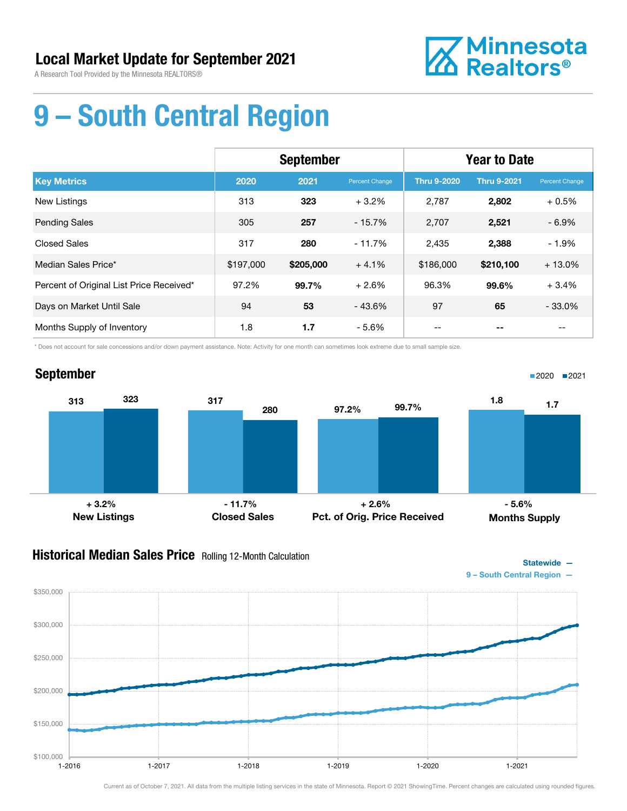

# 9 – South Central Region

|                                          | <b>September</b> |           |                | <b>Year to Date</b> |                    |                       |
|------------------------------------------|------------------|-----------|----------------|---------------------|--------------------|-----------------------|
| <b>Key Metrics</b>                       | 2020             | 2021      | Percent Change | <b>Thru 9-2020</b>  | <b>Thru 9-2021</b> | <b>Percent Change</b> |
| New Listings                             | 313              | 323       | $+3.2%$        | 2,787               | 2,802              | $+0.5%$               |
| <b>Pending Sales</b>                     | 305              | 257       | $-15.7%$       | 2,707               | 2,521              | $-6.9%$               |
| <b>Closed Sales</b>                      | 317              | 280       | $-11.7%$       | 2,435               | 2,388              | $-1.9%$               |
| Median Sales Price*                      | \$197,000        | \$205,000 | $+4.1%$        | \$186,000           | \$210,100          | $+13.0%$              |
| Percent of Original List Price Received* | 97.2%            | 99.7%     | $+2.6%$        | 96.3%               | 99.6%              | $+3.4%$               |
| Days on Market Until Sale                | 94               | 53        | $-43.6%$       | 97                  | 65                 | $-33.0%$              |
| Months Supply of Inventory               | 1.8              | 1.7       | - 5.6%         | --                  |                    | --                    |

\* Does not account for sale concessions and/or down payment assistance. Note: Activity for one month can sometimes look extreme due to small sample size.

#### September 313 323 317 280 New Listings Closed Sales 97.2% 99.7% Pct. of Orig. Price Received 1.8  $1.7$ Months Supply ■2020 ■2021 + 3.2% - 11.7% + 2.6% - 5.6%

### Historical Median Sales Price Rolling 12-Month Calculation



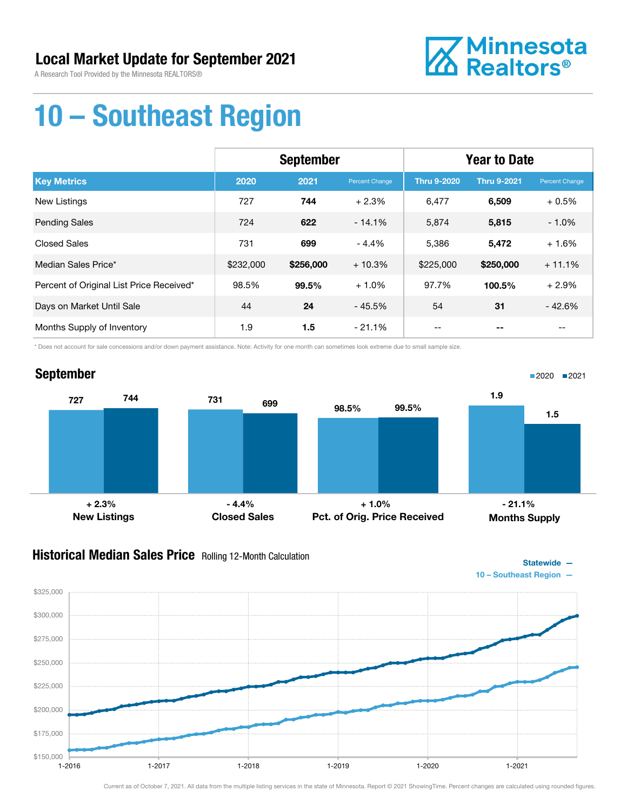

# 10 – Southeast Region

|                                          | <b>September</b> |           |                | <b>Year to Date</b> |                    |                |
|------------------------------------------|------------------|-----------|----------------|---------------------|--------------------|----------------|
| <b>Key Metrics</b>                       | 2020             | 2021      | Percent Change | <b>Thru 9-2020</b>  | <b>Thru 9-2021</b> | Percent Change |
| <b>New Listings</b>                      | 727              | 744       | $+2.3%$        | 6,477               | 6,509              | $+0.5%$        |
| <b>Pending Sales</b>                     | 724              | 622       | $-14.1%$       | 5,874               | 5,815              | $-1.0%$        |
| <b>Closed Sales</b>                      | 731              | 699       | $-4.4%$        | 5,386               | 5,472              | $+1.6%$        |
| Median Sales Price*                      | \$232,000        | \$256,000 | $+10.3%$       | \$225,000           | \$250,000          | $+11.1%$       |
| Percent of Original List Price Received* | 98.5%            | 99.5%     | $+1.0%$        | 97.7%               | 100.5%             | $+2.9%$        |
| Days on Market Until Sale                | 44               | 24        | $-45.5%$       | 54                  | 31                 | $-42.6%$       |
| Months Supply of Inventory               | 1.9              | 1.5       | $-21.1%$       | --                  | --                 | $- -$          |

\* Does not account for sale concessions and/or down payment assistance. Note: Activity for one month can sometimes look extreme due to small sample size.



### Historical Median Sales Price Rolling 12-Month Calculation